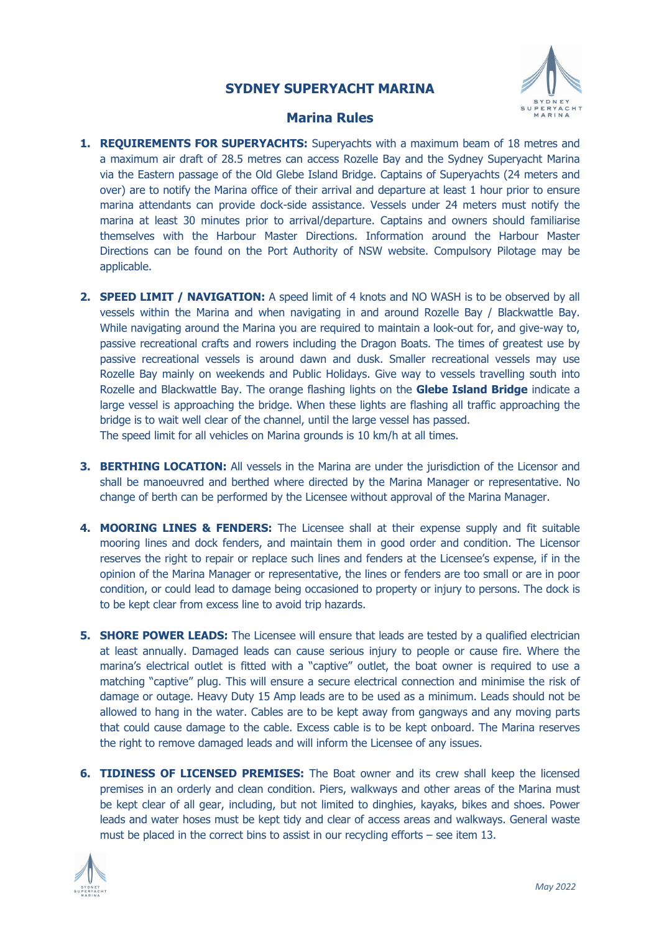## **SYDNEY SUPERYACHT MARINA**



## **Marina Rules**

- **1. REQUIREMENTS FOR SUPERYACHTS:** Superyachts with a maximum beam of 18 metres and a maximum air draft of 28.5 metres can access Rozelle Bay and the Sydney Superyacht Marina via the Eastern passage of the Old Glebe Island Bridge. Captains of Superyachts (24 meters and over) are to notify the Marina office of their arrival and departure at least 1 hour prior to ensure marina attendants can provide dock-side assistance. Vessels under 24 meters must notify the marina at least 30 minutes prior to arrival/departure. Captains and owners should familiarise themselves with the Harbour Master Directions. Information around the Harbour Master Directions can be found on the Port Authority of NSW website. Compulsory Pilotage may be applicable.
- **2. SPEED LIMIT / NAVIGATION:** A speed limit of 4 knots and NO WASH is to be observed by all vessels within the Marina and when navigating in and around Rozelle Bay / Blackwattle Bay. While navigating around the Marina you are required to maintain a look-out for, and give-way to, passive recreational crafts and rowers including the Dragon Boats. The times of greatest use by passive recreational vessels is around dawn and dusk. Smaller recreational vessels may use Rozelle Bay mainly on weekends and Public Holidays. Give way to vessels travelling south into Rozelle and Blackwattle Bay. The orange flashing lights on the **Glebe Island Bridge** indicate a large vessel is approaching the bridge. When these lights are flashing all traffic approaching the bridge is to wait well clear of the channel, until the large vessel has passed. The speed limit for all vehicles on Marina grounds is 10 km/h at all times.
- **3. BERTHING LOCATION:** All vessels in the Marina are under the jurisdiction of the Licensor and shall be manoeuvred and berthed where directed by the Marina Manager or representative. No change of berth can be performed by the Licensee without approval of the Marina Manager.
- **4. MOORING LINES & FENDERS:** The Licensee shall at their expense supply and fit suitable mooring lines and dock fenders, and maintain them in good order and condition. The Licensor reserves the right to repair or replace such lines and fenders at the Licensee's expense, if in the opinion of the Marina Manager or representative, the lines or fenders are too small or are in poor condition, or could lead to damage being occasioned to property or injury to persons. The dock is to be kept clear from excess line to avoid trip hazards.
- **5. SHORE POWER LEADS:** The Licensee will ensure that leads are tested by a qualified electrician at least annually. Damaged leads can cause serious injury to people or cause fire. Where the marina's electrical outlet is fitted with a "captive" outlet, the boat owner is required to use a matching "captive" plug. This will ensure a secure electrical connection and minimise the risk of damage or outage. Heavy Duty 15 Amp leads are to be used as a minimum. Leads should not be allowed to hang in the water. Cables are to be kept away from gangways and any moving parts that could cause damage to the cable. Excess cable is to be kept onboard. The Marina reserves the right to remove damaged leads and will inform the Licensee of any issues.
- **6. TIDINESS OF LICENSED PREMISES:** The Boat owner and its crew shall keep the licensed premises in an orderly and clean condition. Piers, walkways and other areas of the Marina must be kept clear of all gear, including, but not limited to dinghies, kayaks, bikes and shoes. Power leads and water hoses must be kept tidy and clear of access areas and walkways. General waste must be placed in the correct bins to assist in our recycling efforts – see item 13.

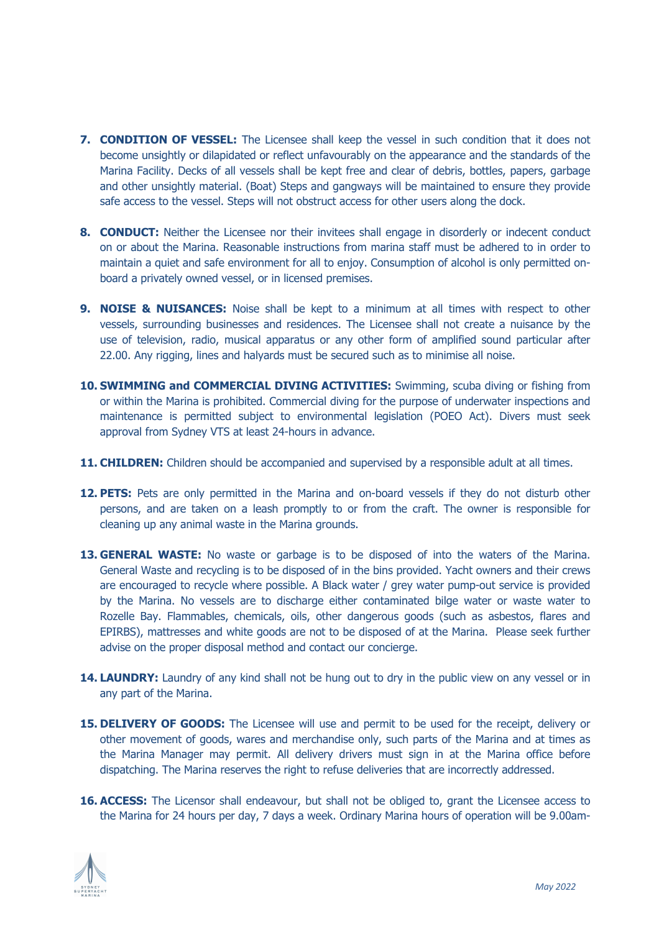- **7. CONDITION OF VESSEL:** The Licensee shall keep the vessel in such condition that it does not become unsightly or dilapidated or reflect unfavourably on the appearance and the standards of the Marina Facility. Decks of all vessels shall be kept free and clear of debris, bottles, papers, garbage and other unsightly material. (Boat) Steps and gangways will be maintained to ensure they provide safe access to the vessel. Steps will not obstruct access for other users along the dock.
- **8. CONDUCT:** Neither the Licensee nor their invitees shall engage in disorderly or indecent conduct on or about the Marina. Reasonable instructions from marina staff must be adhered to in order to maintain a quiet and safe environment for all to enjoy. Consumption of alcohol is only permitted onboard a privately owned vessel, or in licensed premises.
- **9. NOISE & NUISANCES:** Noise shall be kept to a minimum at all times with respect to other vessels, surrounding businesses and residences. The Licensee shall not create a nuisance by the use of television, radio, musical apparatus or any other form of amplified sound particular after 22.00. Any rigging, lines and halyards must be secured such as to minimise all noise.
- **10. SWIMMING and COMMERCIAL DIVING ACTIVITIES:** Swimming, scuba diving or fishing from or within the Marina is prohibited. Commercial diving for the purpose of underwater inspections and maintenance is permitted subject to environmental legislation (POEO Act). Divers must seek approval from Sydney VTS at least 24-hours in advance.
- **11. CHILDREN:** Children should be accompanied and supervised by a responsible adult at all times.
- **12. PETS:** Pets are only permitted in the Marina and on-board vessels if they do not disturb other persons, and are taken on a leash promptly to or from the craft. The owner is responsible for cleaning up any animal waste in the Marina grounds.
- **13. GENERAL WASTE:** No waste or garbage is to be disposed of into the waters of the Marina. General Waste and recycling is to be disposed of in the bins provided. Yacht owners and their crews are encouraged to recycle where possible. A Black water / grey water pump-out service is provided by the Marina. No vessels are to discharge either contaminated bilge water or waste water to Rozelle Bay. Flammables, chemicals, oils, other dangerous goods (such as asbestos, flares and EPIRBS), mattresses and white goods are not to be disposed of at the Marina. Please seek further advise on the proper disposal method and contact our concierge.
- **14. LAUNDRY:** Laundry of any kind shall not be hung out to dry in the public view on any vessel or in any part of the Marina.
- **15. DELIVERY OF GOODS:** The Licensee will use and permit to be used for the receipt, delivery or other movement of goods, wares and merchandise only, such parts of the Marina and at times as the Marina Manager may permit. All delivery drivers must sign in at the Marina office before dispatching. The Marina reserves the right to refuse deliveries that are incorrectly addressed.
- **16. ACCESS:** The Licensor shall endeavour, but shall not be obliged to, grant the Licensee access to the Marina for 24 hours per day, 7 days a week. Ordinary Marina hours of operation will be 9.00am-

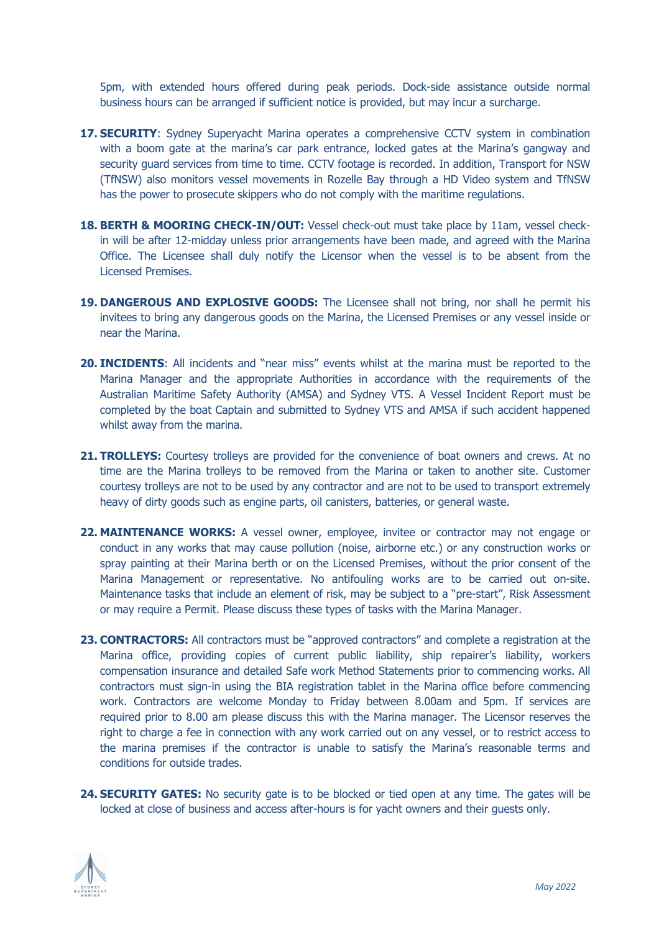5pm, with extended hours offered during peak periods. Dock-side assistance outside normal business hours can be arranged if sufficient notice is provided, but may incur a surcharge.

- **17. SECURITY:** Sydney Superyacht Marina operates a comprehensive CCTV system in combination with a boom gate at the marina's car park entrance, locked gates at the Marina's gangway and security guard services from time to time. CCTV footage is recorded. In addition, Transport for NSW (TfNSW) also monitors vessel movements in Rozelle Bay through a HD Video system and TfNSW has the power to prosecute skippers who do not comply with the maritime regulations.
- 18. **BERTH & MOORING CHECK-IN/OUT:** Vessel check-out must take place by 11am, vessel checkin will be after 12-midday unless prior arrangements have been made, and agreed with the Marina Office. The Licensee shall duly notify the Licensor when the vessel is to be absent from the Licensed Premises.
- 19. **DANGEROUS AND EXPLOSIVE GOODS:** The Licensee shall not bring, nor shall he permit his invitees to bring any dangerous goods on the Marina, the Licensed Premises or any vessel inside or near the Marina.
- **20. INCIDENTS**: All incidents and "near miss" events whilst at the marina must be reported to the Marina Manager and the appropriate Authorities in accordance with the requirements of the Australian Maritime Safety Authority (AMSA) and Sydney VTS. A Vessel Incident Report must be completed by the boat Captain and submitted to Sydney VTS and AMSA if such accident happened whilst away from the marina.
- **21. TROLLEYS:** Courtesy trolleys are provided for the convenience of boat owners and crews. At no time are the Marina trolleys to be removed from the Marina or taken to another site. Customer courtesy trolleys are not to be used by any contractor and are not to be used to transport extremely heavy of dirty goods such as engine parts, oil canisters, batteries, or general waste.
- **22. MAINTENANCE WORKS:** A vessel owner, employee, invitee or contractor may not engage or conduct in any works that may cause pollution (noise, airborne etc.) or any construction works or spray painting at their Marina berth or on the Licensed Premises, without the prior consent of the Marina Management or representative. No antifouling works are to be carried out on-site. Maintenance tasks that include an element of risk, may be subject to a "pre-start", Risk Assessment or may require a Permit. Please discuss these types of tasks with the Marina Manager.
- **23. CONTRACTORS:** All contractors must be "approved contractors" and complete a registration at the Marina office, providing copies of current public liability, ship repairer's liability, workers compensation insurance and detailed Safe work Method Statements prior to commencing works. All contractors must sign-in using the BIA registration tablet in the Marina office before commencing work. Contractors are welcome Monday to Friday between 8.00am and 5pm. If services are required prior to 8.00 am please discuss this with the Marina manager. The Licensor reserves the right to charge a fee in connection with any work carried out on any vessel, or to restrict access to the marina premises if the contractor is unable to satisfy the Marina's reasonable terms and conditions for outside trades.
- **24. SECURITY GATES:** No security gate is to be blocked or tied open at any time. The gates will be locked at close of business and access after-hours is for yacht owners and their guests only.